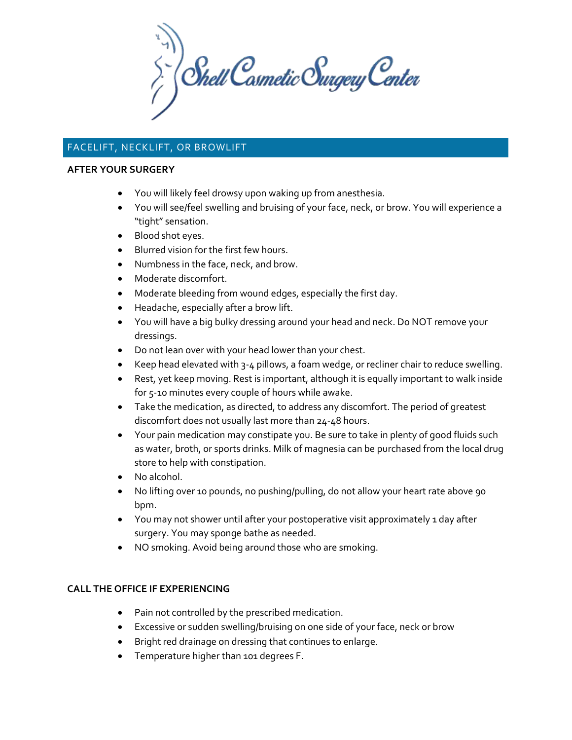$\sum_{i}^{N}$  Shell Cosmetic Surgery Center

# FACELIFT, NECKLIFT, OR BROWLIFT

#### **AFTER YOUR SURGERY**

- You will likely feel drowsy upon waking up from anesthesia.
- You will see/feel swelling and bruising of your face, neck, or brow. You will experience a "tight" sensation.
- Blood shot eyes.
- Blurred vision for the first few hours.
- Numbness in the face, neck, and brow.
- Moderate discomfort.
- Moderate bleeding from wound edges, especially the first day.
- Headache, especially after a brow lift.
- You will have a big bulky dressing around your head and neck. Do NOT remove your dressings.
- Do not lean over with your head lower than your chest.
- Keep head elevated with 3-4 pillows, a foam wedge, or recliner chair to reduce swelling.
- Rest, yet keep moving. Rest is important, although it is equally important to walk inside for 5-10 minutes every couple of hours while awake.
- Take the medication, as directed, to address any discomfort. The period of greatest discomfort does not usually last more than 24-48 hours.
- Your pain medication may constipate you. Be sure to take in plenty of good fluids such as water, broth, or sports drinks. Milk of magnesia can be purchased from the local drug store to help with constipation.
- No alcohol.
- No lifting over 10 pounds, no pushing/pulling, do not allow your heart rate above 90 bpm.
- You may not shower until after your postoperative visit approximately 1 day after surgery. You may sponge bathe as needed.
- NO smoking. Avoid being around those who are smoking.

## **CALL THE OFFICE IF EXPERIENCING**

- Pain not controlled by the prescribed medication.
- Excessive or sudden swelling/bruising on one side of your face, neck or brow
- Bright red drainage on dressing that continues to enlarge.
- Temperature higher than 101 degrees F.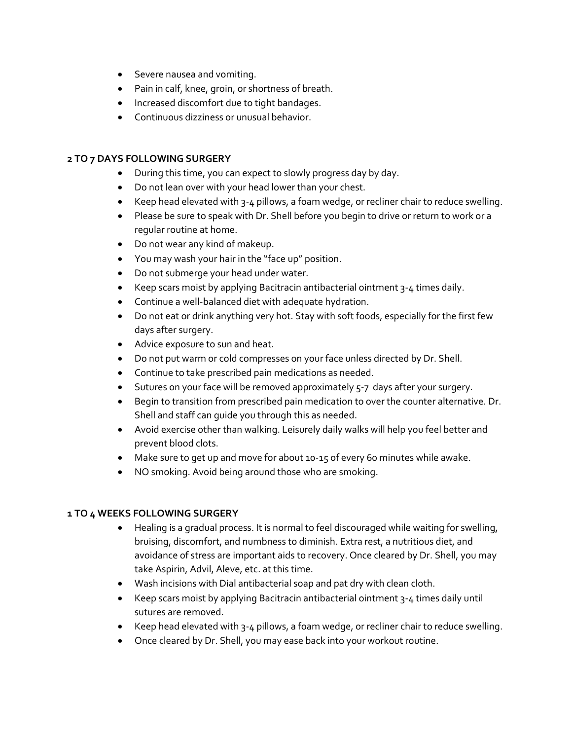- Severe nausea and vomiting.
- Pain in calf, knee, groin, or shortness of breath.
- Increased discomfort due to tight bandages.
- Continuous dizziness or unusual behavior.

## **2 TO 7 DAYS FOLLOWING SURGERY**

- During this time, you can expect to slowly progress day by day.
- Do not lean over with your head lower than your chest.
- Keep head elevated with 3-4 pillows, a foam wedge, or recliner chair to reduce swelling.
- Please be sure to speak with Dr. Shell before you begin to drive or return to work or a regular routine at home.
- Do not wear any kind of makeup.
- You may wash your hair in the "face up" position.
- Do not submerge your head under water.
- Keep scars moist by applying Bacitracin antibacterial ointment 3-4 times daily.
- Continue a well-balanced diet with adequate hydration.
- Do not eat or drink anything very hot. Stay with soft foods, especially for the first few days after surgery.
- Advice exposure to sun and heat.
- Do not put warm or cold compresses on your face unless directed by Dr. Shell.
- Continue to take prescribed pain medications as needed.
- Sutures on your face will be removed approximately 5-7 days after your surgery.
- Begin to transition from prescribed pain medication to over the counter alternative. Dr. Shell and staff can guide you through this as needed.
- Avoid exercise other than walking. Leisurely daily walks will help you feel better and prevent blood clots.
- Make sure to get up and move for about 10-15 of every 60 minutes while awake.
- NO smoking. Avoid being around those who are smoking.

## **1 TO 4 WEEKS FOLLOWING SURGERY**

- Healing is a gradual process. It is normal to feel discouraged while waiting for swelling, bruising, discomfort, and numbness to diminish. Extra rest, a nutritious diet, and avoidance of stress are important aids to recovery. Once cleared by Dr. Shell, you may take Aspirin, Advil, Aleve, etc. at this time.
- Wash incisions with Dial antibacterial soap and pat dry with clean cloth.
- Keep scars moist by applying Bacitracin antibacterial ointment 3-4 times daily until sutures are removed.
- Keep head elevated with 3-4 pillows, a foam wedge, or recliner chair to reduce swelling.
- Once cleared by Dr. Shell, you may ease back into your workout routine.